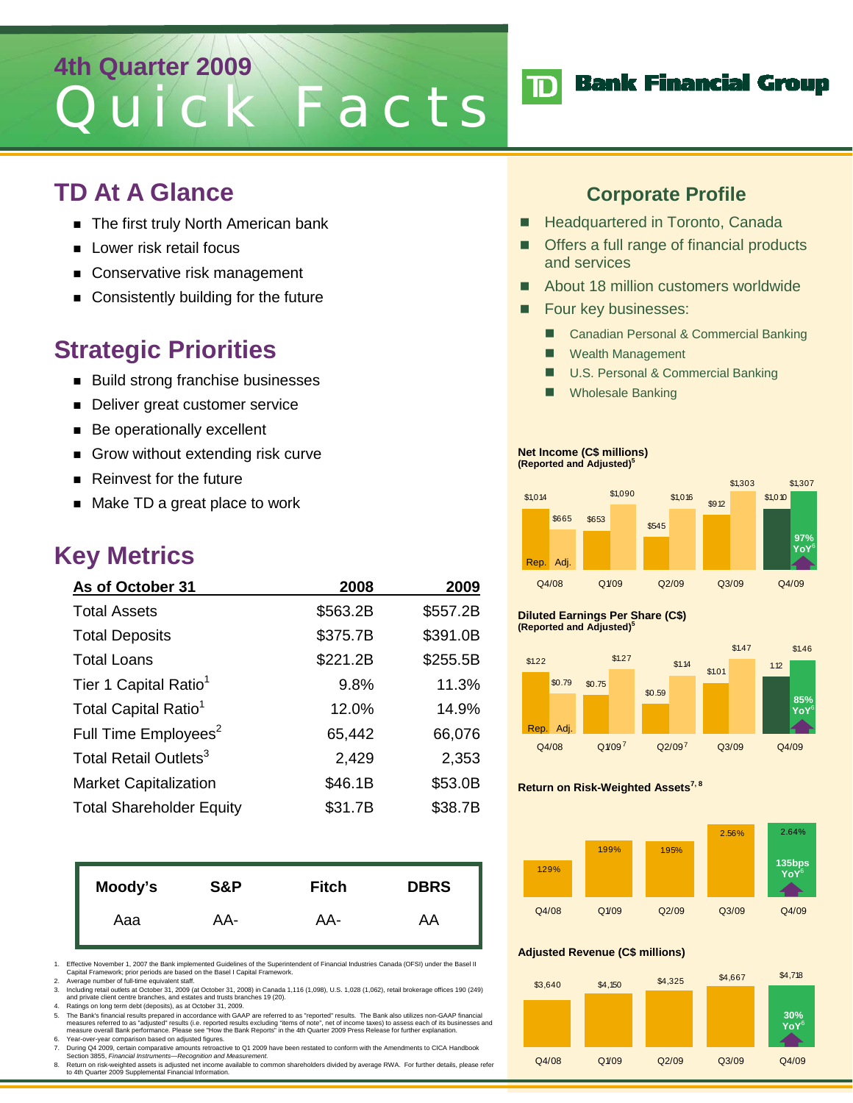# **4th Quarter 2009** Quick Facts

### **TD At A Glance**

- The first truly North American bank
- **Lower risk retail focus**
- Conservative risk management
- Consistently building for the future

### **Strategic Priorities**

- Build strong franchise businesses
- Deliver great customer service
- **Be operationally excellent**
- Grow without extending risk curve
- Reinvest for the future
- Make TD a great place to work

### **Key Metrics**

| As of October 31                  | 2008     | 2009     |
|-----------------------------------|----------|----------|
| <b>Total Assets</b>               | \$563.2B | \$557.2B |
| <b>Total Deposits</b>             | \$375.7B | \$391.0B |
| <b>Total Loans</b>                | \$221.2B | \$255.5B |
| Tier 1 Capital Ratio <sup>1</sup> | 9.8%     | 11.3%    |
| Total Capital Ratio <sup>1</sup>  | 12.0%    | 14.9%    |
| Full Time Employees <sup>2</sup>  | 65,442   | 66,076   |
| Total Retail Outlets <sup>3</sup> | 2,429    | 2,353    |
| <b>Market Capitalization</b>      | \$46.1B  | \$53.0B  |
| <b>Total Shareholder Equity</b>   | \$31.7B  | \$38.7B  |

| Moody's | S&P | <b>Fitch</b> | <b>DBRS</b> |
|---------|-----|--------------|-------------|
| Aaa     | AA- | AA-          | AA          |

1. Effective November 1, 2007 the Bank implemented Guidelines of the Superintendent of Financial Industries Canada (OFSI) under the Basel II Capital Framework; prior periods are based on the Basel I Capital Framework.

2. Average number of full-time equivalent staff.

3. Including retail outlets at October 31, 2009 (at October 31, 2008) in Canada 1,116 (1,098), U.S. 1,028 (1,062), retail brokerage offices 190 (249)<br>and private client centre branches, and estates and trusts branches 19 (

4. Ratings on long term debt (deposits), as at October 31, 2009. 5. The Bank's financial results prepared in accordance with GAAP are referred to as "reported" results. The Bank also utilizes non-GAAP financial measures referred to as "adjusted" results (i.e. reported results excluding "items of note", net of income taxes) to assess each of its businesses and<br>measure overall Bank performance. Please see "How the Bank Reports" in 6. Year-over-year comparison based on adjusted figures.

- 7. During Q4 2009, certain comparative amounts retroactive to Q1 2009 have been restated to conform with the Amendments to CICA Handbook Section 3855, *Financial Instruments—Recognition and Measurement.*
- 8. Return on risk-weighted assets is adjusted net income available to common shareholders divided by average RWA. For further details, please refer<br>to 4th Quarter 2009 Supplemental Financial Information.

### **Corporate Profile**

- **Headquartered in Toronto, Canada**
- Offers a full range of financial products and services
- About 18 million customers worldwide
- Four key businesses:
	- Canadian Personal & Commercial Banking
	- **Nealth Management**
	- U.S. Personal & Commercial Banking
	- Wholesale Banking

#### **Net Income (C\$ millions) (Reported and Adjusted)5**



#### **Diluted Earnings Per Share (C\$) (Reported and Adjusted)5**



#### **Return on Risk-Weighted Assets<sup>7, 8</sup>**



#### **Adjusted Revenue (C\$ millions)**



## **TD** Bank Financial Group